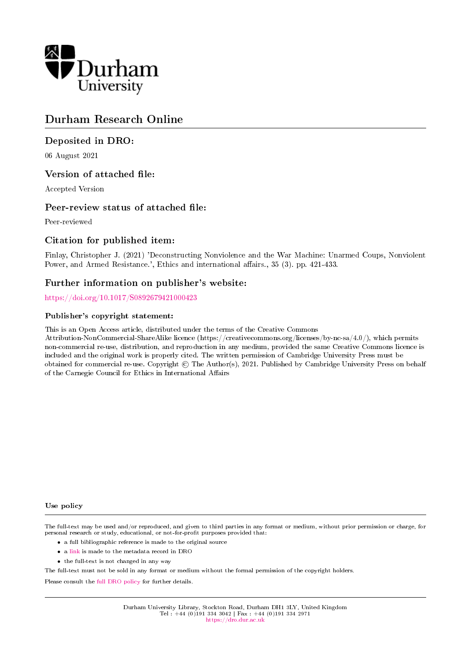

## Durham Research Online

### Deposited in DRO:

06 August 2021

### Version of attached file:

Accepted Version

### Peer-review status of attached file:

Peer-reviewed

### Citation for published item:

Finlay, Christopher J. (2021) 'Deconstructing Nonviolence and the War Machine: Unarmed Coups, Nonviolent Power, and Armed Resistance.', Ethics and international affairs., 35 (3). pp. 421-433.

### Further information on publisher's website:

<https://doi.org/10.1017/S0892679421000423>

### Publisher's copyright statement:

This is an Open Access article, distributed under the terms of the Creative Commons

Attribution-NonCommercial-ShareAlike licence (https://creativecommons.org/licenses/by-nc-sa/4.0/), which permits non-commercial re-use, distribution, and reproduction in any medium, provided the same Creative Commons licence is included and the original work is properly cited. The written permission of Cambridge University Press must be obtained for commercial re-use. Copyright  $\odot$  The Author(s), 2021. Published by Cambridge University Press on behalf of the Carnegie Council for Ethics in International Affairs

#### Use policy

The full-text may be used and/or reproduced, and given to third parties in any format or medium, without prior permission or charge, for personal research or study, educational, or not-for-profit purposes provided that:

- a full bibliographic reference is made to the original source
- a [link](http://dro.dur.ac.uk/33511/) is made to the metadata record in DRO
- the full-text is not changed in any way

The full-text must not be sold in any format or medium without the formal permission of the copyright holders.

Please consult the [full DRO policy](https://dro.dur.ac.uk/policies/usepolicy.pdf) for further details.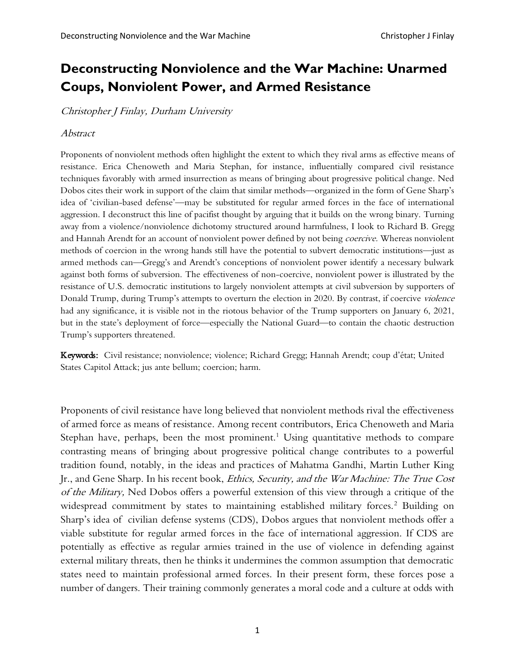# **Deconstructing Nonviolence and the War Machine: Unarmed Coups, Nonviolent Power, and Armed Resistance**

Christopher J Finlay, Durham University

### Abstract

Proponents of nonviolent methods often highlight the extent to which they rival arms as effective means of resistance. Erica Chenoweth and Maria Stephan, for instance, influentially compared civil resistance techniques favorably with armed insurrection as means of bringing about progressive political change. Ned Dobos cites their work in support of the claim that similar methods—organized in the form of Gene Sharp's idea of 'civilian-based defense'—may be substituted for regular armed forces in the face of international aggression. I deconstruct this line of pacifist thought by arguing that it builds on the wrong binary. Turning away from a violence/nonviolence dichotomy structured around harmfulness, I look to Richard B. Gregg and Hannah Arendt for an account of nonviolent power defined by not being *coercive*. Whereas nonviolent methods of coercion in the wrong hands still have the potential to subvert democratic institutions—just as armed methods can—Gregg's and Arendt's conceptions of nonviolent power identify a necessary bulwark against both forms of subversion. The effectiveness of non-coercive, nonviolent power is illustrated by the resistance of U.S. democratic institutions to largely nonviolent attempts at civil subversion by supporters of Donald Trump, during Trump's attempts to overturn the election in 2020. By contrast, if coercive violence had any significance, it is visible not in the riotous behavior of the Trump supporters on January 6, 2021, but in the state's deployment of force—especially the National Guard—to contain the chaotic destruction Trump's supporters threatened.

Keywords: Civil resistance; nonviolence; violence; Richard Gregg; Hannah Arendt; coup d'état; United States Capitol Attack; jus ante bellum; coercion; harm.

Proponents of civil resistance have long believed that nonviolent methods rival the effectiveness of armed force as means of resistance. Among recent contributors, Erica Chenoweth and Maria Stephan have, perhaps, been the most prominent.<sup>1</sup> Using quantitative methods to compare contrasting means of bringing about progressive political change contributes to a powerful tradition found, notably, in the ideas and practices of Mahatma Gandhi, Martin Luther King Jr., and Gene Sharp. In his recent book, Ethics, Security, and the War Machine: The True Cost of the Military, Ned Dobos offers a powerful extension of this view through a critique of the widespread commitment by states to maintaining established military forces.<sup>2</sup> Building on Sharp's idea of civilian defense systems (CDS), Dobos argues that nonviolent methods offer a viable substitute for regular armed forces in the face of international aggression. If CDS are potentially as effective as regular armies trained in the use of violence in defending against external military threats, then he thinks it undermines the common assumption that democratic states need to maintain professional armed forces. In their present form, these forces pose a number of dangers. Their training commonly generates a moral code and a culture at odds with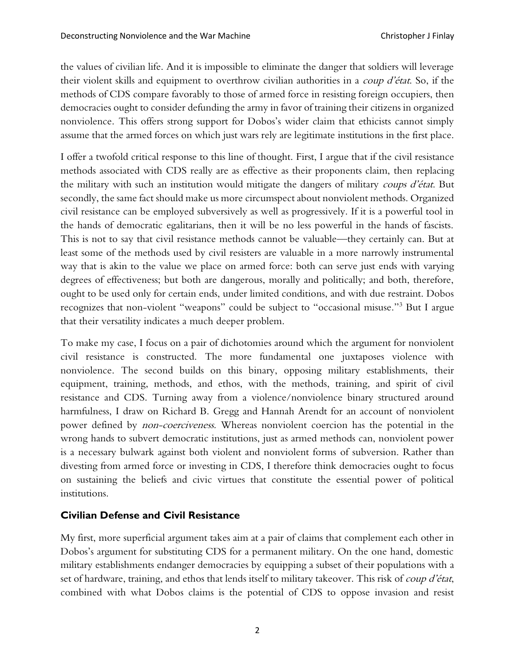the values of civilian life. And it is impossible to eliminate the danger that soldiers will leverage their violent skills and equipment to overthrow civilian authorities in a coup d'état. So, if the methods of CDS compare favorably to those of armed force in resisting foreign occupiers, then democracies ought to consider defunding the army in favor of training their citizens in organized nonviolence. This offers strong support for Dobos's wider claim that ethicists cannot simply assume that the armed forces on which just wars rely are legitimate institutions in the first place.

I offer a twofold critical response to this line of thought. First, I argue that if the civil resistance methods associated with CDS really are as effective as their proponents claim, then replacing the military with such an institution would mitigate the dangers of military *coups d'état*. But secondly, the same fact should make us more circumspect about nonviolent methods. Organized civil resistance can be employed subversively as well as progressively. If it is a powerful tool in the hands of democratic egalitarians, then it will be no less powerful in the hands of fascists. This is not to say that civil resistance methods cannot be valuable—they certainly can. But at least some of the methods used by civil resisters are valuable in a more narrowly instrumental way that is akin to the value we place on armed force: both can serve just ends with varying degrees of effectiveness; but both are dangerous, morally and politically; and both, therefore, ought to be used only for certain ends, under limited conditions, and with due restraint. Dobos recognizes that non-violent "weapons" could be subject to "occasional misuse."<sup>3</sup> But I argue that their versatility indicates a much deeper problem.

To make my case, I focus on a pair of dichotomies around which the argument for nonviolent civil resistance is constructed. The more fundamental one juxtaposes violence with nonviolence. The second builds on this binary, opposing military establishments, their equipment, training, methods, and ethos, with the methods, training, and spirit of civil resistance and CDS. Turning away from a violence/nonviolence binary structured around harmfulness, I draw on Richard B. Gregg and Hannah Arendt for an account of nonviolent power defined by *non-coerciveness*. Whereas nonviolent coercion has the potential in the wrong hands to subvert democratic institutions, just as armed methods can, nonviolent power is a necessary bulwark against both violent and nonviolent forms of subversion. Rather than divesting from armed force or investing in CDS, I therefore think democracies ought to focus on sustaining the beliefs and civic virtues that constitute the essential power of political institutions.

## **Civilian Defense and Civil Resistance**

My first, more superficial argument takes aim at a pair of claims that complement each other in Dobos's argument for substituting CDS for a permanent military. On the one hand, domestic military establishments endanger democracies by equipping a subset of their populations with a set of hardware, training, and ethos that lends itself to military takeover. This risk of *coup d'état*, combined with what Dobos claims is the potential of CDS to oppose invasion and resist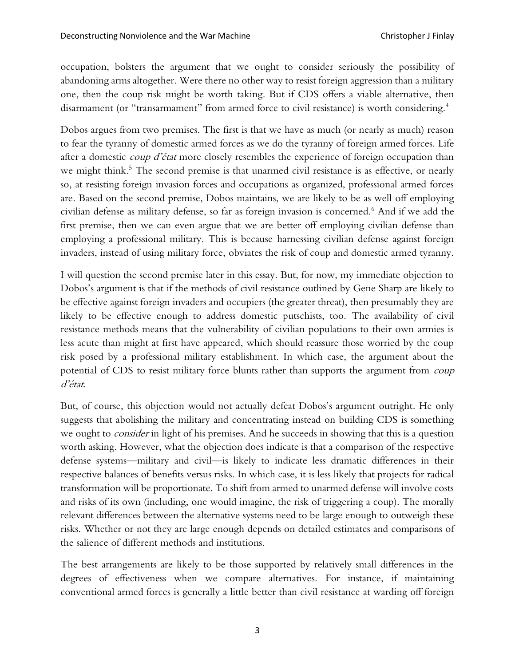occupation, bolsters the argument that we ought to consider seriously the possibility of abandoning arms altogether. Were there no other way to resist foreign aggression than a military one, then the coup risk might be worth taking. But if CDS offers a viable alternative, then disarmament (or "transarmament" from armed force to civil resistance) is worth considering.<sup>4</sup>

Dobos argues from two premises. The first is that we have as much (or nearly as much) reason to fear the tyranny of domestic armed forces as we do the tyranny of foreign armed forces. Life after a domestic *coup d'état* more closely resembles the experience of foreign occupation than we might think.<sup>5</sup> The second premise is that unarmed civil resistance is as effective, or nearly so, at resisting foreign invasion forces and occupations as organized, professional armed forces are. Based on the second premise, Dobos maintains, we are likely to be as well off employing civilian defense as military defense, so far as foreign invasion is concerned.<sup>6</sup> And if we add the first premise, then we can even argue that we are better off employing civilian defense than employing a professional military. This is because harnessing civilian defense against foreign invaders, instead of using military force, obviates the risk of coup and domestic armed tyranny.

I will question the second premise later in this essay. But, for now, my immediate objection to Dobos's argument is that if the methods of civil resistance outlined by Gene Sharp are likely to be effective against foreign invaders and occupiers (the greater threat), then presumably they are likely to be effective enough to address domestic putschists, too. The availability of civil resistance methods means that the vulnerability of civilian populations to their own armies is less acute than might at first have appeared, which should reassure those worried by the coup risk posed by a professional military establishment. In which case, the argument about the potential of CDS to resist military force blunts rather than supports the argument from coup d'état.

But, of course, this objection would not actually defeat Dobos's argument outright. He only suggests that abolishing the military and concentrating instead on building CDS is something we ought to *consider* in light of his premises. And he succeeds in showing that this is a question worth asking. However, what the objection does indicate is that a comparison of the respective defense systems—military and civil—is likely to indicate less dramatic differences in their respective balances of benefits versus risks. In which case, it is less likely that projects for radical transformation will be proportionate. To shift from armed to unarmed defense will involve costs and risks of its own (including, one would imagine, the risk of triggering a coup). The morally relevant differences between the alternative systems need to be large enough to outweigh these risks. Whether or not they are large enough depends on detailed estimates and comparisons of the salience of different methods and institutions.

The best arrangements are likely to be those supported by relatively small differences in the degrees of effectiveness when we compare alternatives. For instance, if maintaining conventional armed forces is generally a little better than civil resistance at warding off foreign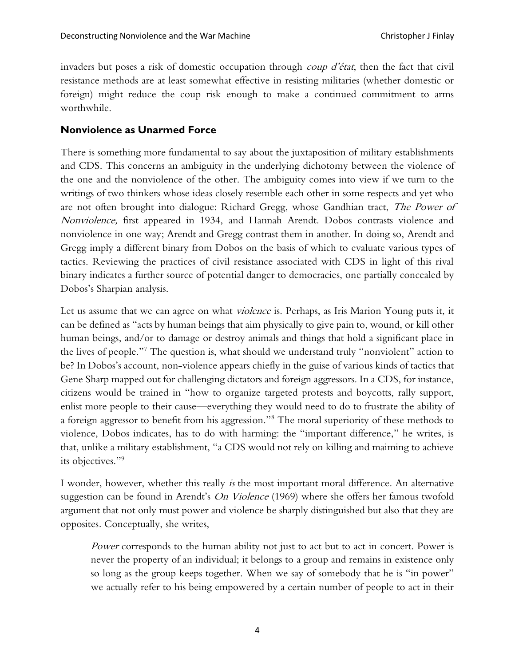invaders but poses a risk of domestic occupation through *coup d'état*, then the fact that civil resistance methods are at least somewhat effective in resisting militaries (whether domestic or foreign) might reduce the coup risk enough to make a continued commitment to arms worthwhile.

### **Nonviolence as Unarmed Force**

There is something more fundamental to say about the juxtaposition of military establishments and CDS. This concerns an ambiguity in the underlying dichotomy between the violence of the one and the nonviolence of the other. The ambiguity comes into view if we turn to the writings of two thinkers whose ideas closely resemble each other in some respects and yet who are not often brought into dialogue: Richard Gregg, whose Gandhian tract, The Power of Nonviolence, first appeared in 1934, and Hannah Arendt. Dobos contrasts violence and nonviolence in one way; Arendt and Gregg contrast them in another. In doing so, Arendt and Gregg imply a different binary from Dobos on the basis of which to evaluate various types of tactics. Reviewing the practices of civil resistance associated with CDS in light of this rival binary indicates a further source of potential danger to democracies, one partially concealed by Dobos's Sharpian analysis.

Let us assume that we can agree on what *violence* is. Perhaps, as Iris Marion Young puts it, it can be defined as "acts by human beings that aim physically to give pain to, wound, or kill other human beings, and/or to damage or destroy animals and things that hold a significant place in the lives of people."<sup>7</sup> The question is, what should we understand truly "nonviolent" action to be? In Dobos's account, non-violence appears chiefly in the guise of various kinds of tactics that Gene Sharp mapped out for challenging dictators and foreign aggressors. In a CDS, for instance, citizens would be trained in "how to organize targeted protests and boycotts, rally support, enlist more people to their cause—everything they would need to do to frustrate the ability of a foreign aggressor to benefit from his aggression."<sup>8</sup> The moral superiority of these methods to violence, Dobos indicates, has to do with harming: the "important difference," he writes, is that, unlike a military establishment, "a CDS would not rely on killing and maiming to achieve its objectives."<sup>9</sup>

I wonder, however, whether this really is the most important moral difference. An alternative suggestion can be found in Arendt's On Violence (1969) where she offers her famous twofold argument that not only must power and violence be sharply distinguished but also that they are opposites. Conceptually, she writes,

Power corresponds to the human ability not just to act but to act in concert. Power is never the property of an individual; it belongs to a group and remains in existence only so long as the group keeps together. When we say of somebody that he is "in power" we actually refer to his being empowered by a certain number of people to act in their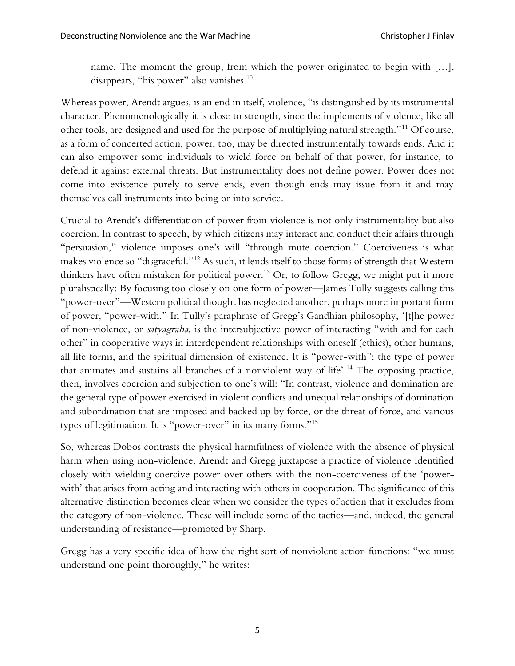name. The moment the group, from which the power originated to begin with […], disappears, "his power" also vanishes.<sup>10</sup>

Whereas power, Arendt argues, is an end in itself, violence, "is distinguished by its instrumental character. Phenomenologically it is close to strength, since the implements of violence, like all other tools, are designed and used for the purpose of multiplying natural strength."<sup>11</sup> Of course, as a form of concerted action, power, too, may be directed instrumentally towards ends. And it can also empower some individuals to wield force on behalf of that power, for instance, to defend it against external threats. But instrumentality does not define power. Power does not come into existence purely to serve ends, even though ends may issue from it and may themselves call instruments into being or into service.

Crucial to Arendt's differentiation of power from violence is not only instrumentality but also coercion. In contrast to speech, by which citizens may interact and conduct their affairs through "persuasion," violence imposes one's will "through mute coercion." Coerciveness is what makes violence so "disgraceful."<sup>12</sup> As such, it lends itself to those forms of strength that Western thinkers have often mistaken for political power.<sup>13</sup> Or, to follow Gregg, we might put it more pluralistically: By focusing too closely on one form of power—James Tully suggests calling this "power-over"—Western political thought has neglected another, perhaps more important form of power, "power-with." In Tully's paraphrase of Gregg's Gandhian philosophy, '[t]he power of non-violence, or satyagraha, is the intersubjective power of interacting "with and for each other" in cooperative ways in interdependent relationships with oneself (ethics), other humans, all life forms, and the spiritual dimension of existence. It is "power-with": the type of power that animates and sustains all branches of a nonviolent way of life'.<sup>14</sup> The opposing practice, then, involves coercion and subjection to one's will: "In contrast, violence and domination are the general type of power exercised in violent conflicts and unequal relationships of domination and subordination that are imposed and backed up by force, or the threat of force, and various types of legitimation. It is "power-over" in its many forms."<sup>15</sup>

So, whereas Dobos contrasts the physical harmfulness of violence with the absence of physical harm when using non-violence, Arendt and Gregg juxtapose a practice of violence identified closely with wielding coercive power over others with the non-coerciveness of the 'powerwith' that arises from acting and interacting with others in cooperation. The significance of this alternative distinction becomes clear when we consider the types of action that it excludes from the category of non-violence. These will include some of the tactics—and, indeed, the general understanding of resistance—promoted by Sharp.

Gregg has a very specific idea of how the right sort of nonviolent action functions: "we must understand one point thoroughly," he writes: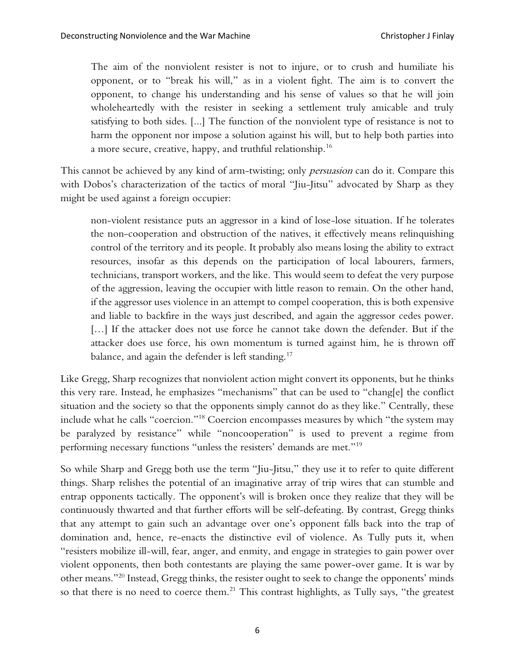The aim of the nonviolent resister is not to injure, or to crush and humiliate his opponent, or to "break his will," as in a violent fight. The aim is to convert the opponent, to change his understanding and his sense of values so that he will join wholeheartedly with the resister in seeking a settlement truly amicable and truly satisfying to both sides. [...] The function of the nonviolent type of resistance is not to harm the opponent nor impose a solution against his will, but to help both parties into a more secure, creative, happy, and truthful relationship.<sup>16</sup>

This cannot be achieved by any kind of arm-twisting; only *persuasion* can do it. Compare this with Dobos's characterization of the tactics of moral "Jiu-Jitsu" advocated by Sharp as they might be used against a foreign occupier:

non-violent resistance puts an aggressor in a kind of lose-lose situation. If he tolerates the non-cooperation and obstruction of the natives, it effectively means relinquishing control of the territory and its people. It probably also means losing the ability to extract resources, insofar as this depends on the participation of local labourers, farmers, technicians, transport workers, and the like. This would seem to defeat the very purpose of the aggression, leaving the occupier with little reason to remain. On the other hand, if the aggressor uses violence in an attempt to compel cooperation, this is both expensive and liable to backfire in the ways just described, and again the aggressor cedes power. [...] If the attacker does not use force he cannot take down the defender. But if the attacker does use force, his own momentum is turned against him, he is thrown off balance, and again the defender is left standing.<sup>17</sup>

Like Gregg, Sharp recognizes that nonviolent action might convert its opponents, but he thinks this very rare. Instead, he emphasizes "mechanisms" that can be used to "chang[e] the conflict situation and the society so that the opponents simply cannot do as they like." Centrally, these include what he calls "coercion." <sup>18</sup> Coercion encompasses measures by which "the system may be paralyzed by resistance" while "noncooperation" is used to prevent a regime from performing necessary functions "unless the resisters' demands are met."<sup>19</sup>

So while Sharp and Gregg both use the term "Jiu-Jitsu," they use it to refer to quite different things. Sharp relishes the potential of an imaginative array of trip wires that can stumble and entrap opponents tactically. The opponent's will is broken once they realize that they will be continuously thwarted and that further efforts will be self-defeating. By contrast, Gregg thinks that any attempt to gain such an advantage over one's opponent falls back into the trap of domination and, hence, re-enacts the distinctive evil of violence. As Tully puts it, when "resisters mobilize ill-will, fear, anger, and enmity, and engage in strategies to gain power over violent opponents, then both contestants are playing the same power-over game. It is war by other means."<sup>20</sup> Instead, Gregg thinks, the resister ought to seek to change the opponents' minds so that there is no need to coerce them.<sup>21</sup> This contrast highlights, as Tully says, "the greatest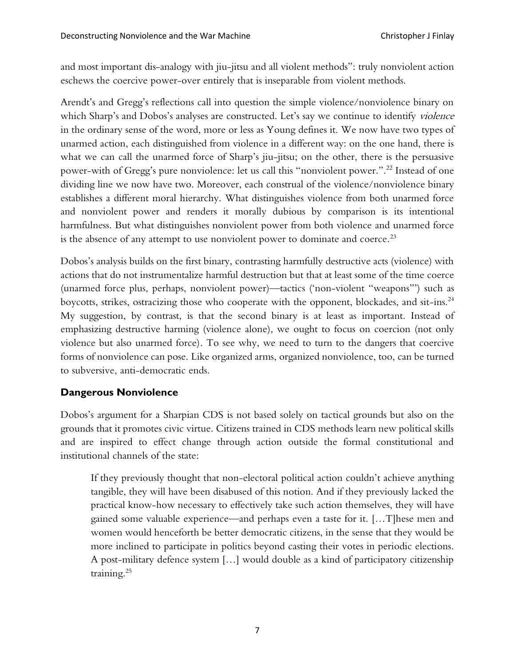and most important dis-analogy with jiu-jitsu and all violent methods": truly nonviolent action eschews the coercive power-over entirely that is inseparable from violent methods.

Arendt's and Gregg's reflections call into question the simple violence/nonviolence binary on which Sharp's and Dobos's analyses are constructed. Let's say we continue to identify violence in the ordinary sense of the word, more or less as Young defines it. We now have two types of unarmed action, each distinguished from violence in a different way: on the one hand, there is what we can call the unarmed force of Sharp's jiu-jitsu; on the other, there is the persuasive power-with of Gregg's pure nonviolence: let us call this "nonviolent power.".<sup>22</sup> Instead of one dividing line we now have two. Moreover, each construal of the violence/nonviolence binary establishes a different moral hierarchy. What distinguishes violence from both unarmed force and nonviolent power and renders it morally dubious by comparison is its intentional harmfulness. But what distinguishes nonviolent power from both violence and unarmed force is the absence of any attempt to use nonviolent power to dominate and coerce.<sup>23</sup>

Dobos's analysis builds on the first binary, contrasting harmfully destructive acts (violence) with actions that do not instrumentalize harmful destruction but that at least some of the time coerce (unarmed force plus, perhaps, nonviolent power)—tactics ('non-violent "weapons"') such as boycotts, strikes, ostracizing those who cooperate with the opponent, blockades, and sit-ins.<sup>24</sup> My suggestion, by contrast, is that the second binary is at least as important. Instead of emphasizing destructive harming (violence alone), we ought to focus on coercion (not only violence but also unarmed force). To see why, we need to turn to the dangers that coercive forms of nonviolence can pose. Like organized arms, organized nonviolence, too, can be turned to subversive, anti-democratic ends.

## **Dangerous Nonviolence**

Dobos's argument for a Sharpian CDS is not based solely on tactical grounds but also on the grounds that it promotes civic virtue. Citizens trained in CDS methods learn new political skills and are inspired to effect change through action outside the formal constitutional and institutional channels of the state:

If they previously thought that non-electoral political action couldn't achieve anything tangible, they will have been disabused of this notion. And if they previously lacked the practical know-how necessary to effectively take such action themselves, they will have gained some valuable experience—and perhaps even a taste for it. […T]hese men and women would henceforth be better democratic citizens, in the sense that they would be more inclined to participate in politics beyond casting their votes in periodic elections. A post-military defence system […] would double as a kind of participatory citizenship training.25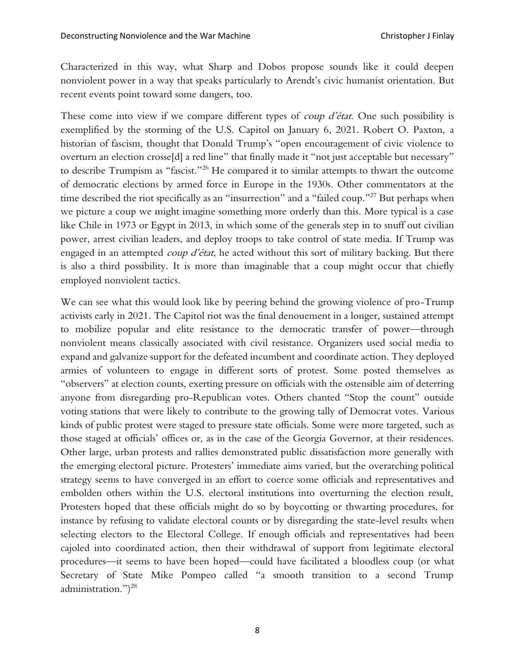Characterized in this way, what Sharp and Dobos propose sounds like it could deepen nonviolent power in a way that speaks particularly to Arendt's civic humanist orientation. But recent events point toward some dangers, too.

These come into view if we compare different types of *coup d'état*. One such possibility is exemplified by the storming of the U.S. Capitol on January 6, 2021. Robert O. Paxton, a historian of fascism, thought that Donald Trump's "open encouragement of civic violence to overturn an election crosse[d] a red line" that finally made it "not just acceptable but necessary" to describe Trumpism as "fascist."<sup>26</sup> He compared it to similar attempts to thwart the outcome of democratic elections by armed force in Europe in the 1930s. Other commentators at the time described the riot specifically as an "insurrection" and a "failed coup."<sup>27</sup> But perhaps when we picture a coup we might imagine something more orderly than this. More typical is a case like Chile in 1973 or Egypt in 2013, in which some of the generals step in to snuff out civilian power, arrest civilian leaders, and deploy troops to take control of state media. If Trump was engaged in an attempted *coup d'état*, he acted without this sort of military backing. But there is also a third possibility. It is more than imaginable that a coup might occur that chiefly employed nonviolent tactics.

We can see what this would look like by peering behind the growing violence of pro-Trump activists early in 2021. The Capitol riot was the final denouement in a longer, sustained attempt to mobilize popular and elite resistance to the democratic transfer of power—through nonviolent means classically associated with civil resistance. Organizers used social media to expand and galvanize support for the defeated incumbent and coordinate action. They deployed armies of volunteers to engage in different sorts of protest. Some posted themselves as "observers" at election counts, exerting pressure on officials with the ostensible aim of deterring anyone from disregarding pro-Republican votes. Others chanted "Stop the count" outside voting stations that were likely to contribute to the growing tally of Democrat votes. Various kinds of public protest were staged to pressure state officials. Some were more targeted, such as those staged at officials' offices or, as in the case of the Georgia Governor, at their residences. Other large, urban protests and rallies demonstrated public dissatisfaction more generally with the emerging electoral picture. Protesters' immediate aims varied, but the overarching political strategy seems to have converged in an effort to coerce some officials and representatives and embolden others within the U.S. electoral institutions into overturning the election result. Protesters hoped that these officials might do so by boycotting or thwarting procedures, for instance by refusing to validate electoral counts or by disregarding the state-level results when selecting electors to the Electoral College. If enough officials and representatives had been cajoled into coordinated action, then their withdrawal of support from legitimate electoral procedures—it seems to have been hoped—could have facilitated a bloodless coup (or what Secretary of State Mike Pompeo called "a smooth transition to a second Trump administration.") 28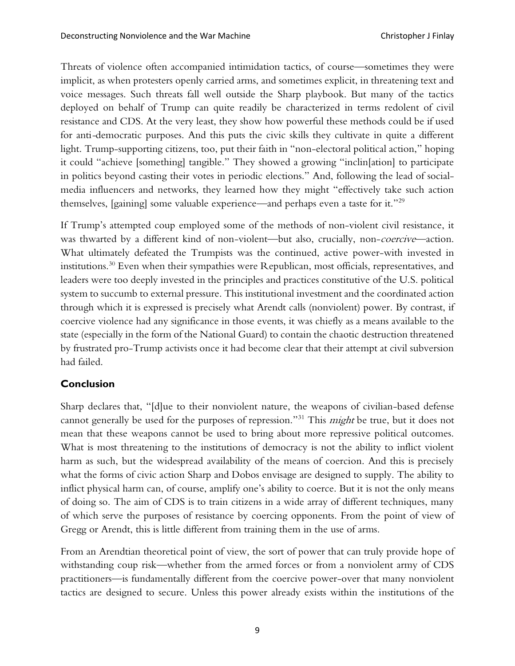Threats of violence often accompanied intimidation tactics, of course—sometimes they were implicit, as when protesters openly carried arms, and sometimes explicit, in threatening text and voice messages. Such threats fall well outside the Sharp playbook. But many of the tactics deployed on behalf of Trump can quite readily be characterized in terms redolent of civil resistance and CDS. At the very least, they show how powerful these methods could be if used for anti-democratic purposes. And this puts the civic skills they cultivate in quite a different light. Trump-supporting citizens, too, put their faith in "non-electoral political action," hoping it could "achieve [something] tangible." They showed a growing "inclin[ation] to participate in politics beyond casting their votes in periodic elections." And, following the lead of socialmedia influencers and networks, they learned how they might "effectively take such action themselves, [gaining] some valuable experience—and perhaps even a taste for it."<sup>29</sup>

If Trump's attempted coup employed some of the methods of non-violent civil resistance, it was thwarted by a different kind of non-violent—but also, crucially, non-coercive—action. What ultimately defeated the Trumpists was the continued, active power-with invested in institutions.<sup>30</sup> Even when their sympathies were Republican, most officials, representatives, and leaders were too deeply invested in the principles and practices constitutive of the U.S. political system to succumb to external pressure. This institutional investment and the coordinated action through which it is expressed is precisely what Arendt calls (nonviolent) power. By contrast, if coercive violence had any significance in those events, it was chiefly as a means available to the state (especially in the form of the National Guard) to contain the chaotic destruction threatened by frustrated pro-Trump activists once it had become clear that their attempt at civil subversion had failed.

## **Conclusion**

Sharp declares that, "[d]ue to their nonviolent nature, the weapons of civilian-based defense cannot generally be used for the purposes of repression."<sup>31</sup> This might be true, but it does not mean that these weapons cannot be used to bring about more repressive political outcomes. What is most threatening to the institutions of democracy is not the ability to inflict violent harm as such, but the widespread availability of the means of coercion. And this is precisely what the forms of civic action Sharp and Dobos envisage are designed to supply. The ability to inflict physical harm can, of course, amplify one's ability to coerce. But it is not the only means of doing so. The aim of CDS is to train citizens in a wide array of different techniques, many of which serve the purposes of resistance by coercing opponents. From the point of view of Gregg or Arendt, this is little different from training them in the use of arms.

From an Arendtian theoretical point of view, the sort of power that can truly provide hope of withstanding coup risk—whether from the armed forces or from a nonviolent army of CDS practitioners—is fundamentally different from the coercive power-over that many nonviolent tactics are designed to secure. Unless this power already exists within the institutions of the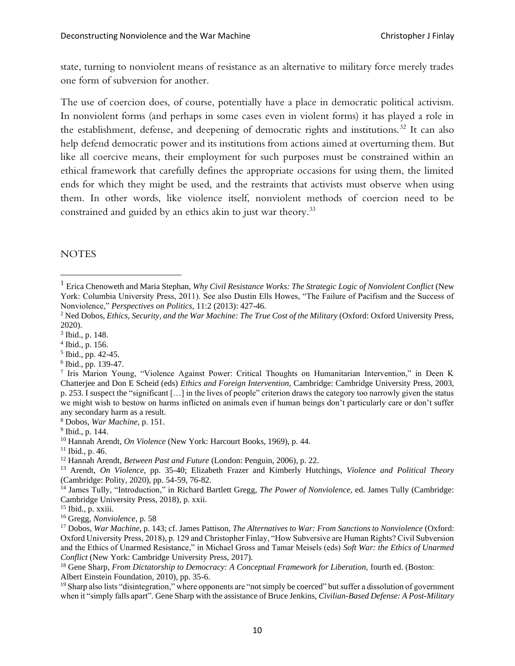state, turning to nonviolent means of resistance as an alternative to military force merely trades one form of subversion for another.

The use of coercion does, of course, potentially have a place in democratic political activism. In nonviolent forms (and perhaps in some cases even in violent forms) it has played a role in the establishment, defense, and deepening of democratic rights and institutions.<sup>32</sup> It can also help defend democratic power and its institutions from actions aimed at overturning them. But like all coercive means, their employment for such purposes must be constrained within an ethical framework that carefully defines the appropriate occasions for using them, the limited ends for which they might be used, and the restraints that activists must observe when using them. In other words, like violence itself, nonviolent methods of coercion need to be constrained and guided by an ethics akin to just war theory.<sup>33</sup>

### **NOTES**

6 Ibid., pp. 139-47.

<sup>1</sup> Erica Chenoweth and Maria Stephan, *Why Civil Resistance Works: The Strategic Logic of Nonviolent Conflict* (New York: Columbia University Press, 2011). See also Dustin Ells Howes, "The Failure of Pacifism and the Success of Nonviolence," *Perspectives on Politics,* 11:2 (2013): 427-46.

<sup>&</sup>lt;sup>2</sup> Ned Dobos, *Ethics, Security, and the War Machine: The True Cost of the Military (Oxford: Oxford University Press,* 2020).

<sup>3</sup> Ibid., p. 148.

<sup>4</sup> Ibid.*,* p. 156.

<sup>5</sup> Ibid., pp. 42-45.

<sup>7</sup> Iris Marion Young, "Violence Against Power: Critical Thoughts on Humanitarian Intervention," in Deen K Chatterjee and Don E Scheid (eds) *Ethics and Foreign Intervention,* Cambridge: Cambridge University Press, 2003, p. 253. I suspect the "significant […] in the lives of people" criterion draws the category too narrowly given the status we might wish to bestow on harms inflicted on animals even if human beings don't particularly care or don't suffer any secondary harm as a result.

<sup>8</sup> Dobos, *War Machine,* p. 151.

<sup>&</sup>lt;sup>9</sup> Ibid., p. 144.

<sup>10</sup> Hannah Arendt, *On Violence* (New York: Harcourt Books, 1969), p. 44.

<sup>11</sup> Ibid., p. 46.

<sup>12</sup> Hannah Arendt, *Between Past and Future* (London: Penguin, 2006), p. 22.

<sup>13</sup> Arendt, *On Violence*, pp. 35-40; Elizabeth Frazer and Kimberly Hutchings, *Violence and Political Theory*  (Cambridge: Polity, 2020), pp. 54-59, 76-82.

<sup>&</sup>lt;sup>14</sup> James Tully, "Introduction," in Richard Bartlett Gregg, *The Power of Nonviolence*, ed. James Tully (Cambridge: Cambridge University Press, 2018)*,* p. xxii.

<sup>&</sup>lt;sup>15</sup> Ibid., p. xxiii.

<sup>16</sup> Gregg, *Nonviolence*, p. 58

<sup>17</sup> Dobos, *War Machine,* p. 143; cf. James Pattison, *The Alternatives to War: From Sanctions to Nonviolence* (Oxford: Oxford University Press, 2018), p. 129 and Christopher Finlay, "How Subversive are Human Rights? Civil Subversion and the Ethics of Unarmed Resistance," in Michael Gross and Tamar Meisels (eds) *Soft War: the Ethics of Unarmed Conflict* (New York: Cambridge University Press, 2017).

<sup>&</sup>lt;sup>18</sup> Gene Sharp, *From Dictatorship to Democracy: A Conceptual Framework for Liberation*, fourth ed. (Boston: Albert Einstein Foundation, 2010), pp. 35-6.

<sup>&</sup>lt;sup>19</sup> Sharp also lists "disintegration," where opponents are "not simply be coerced" but suffer a dissolution of government when it "simply falls apart". Gene Sharp with the assistance of Bruce Jenkins, *Civilian-Based Defense: A Post-Military*